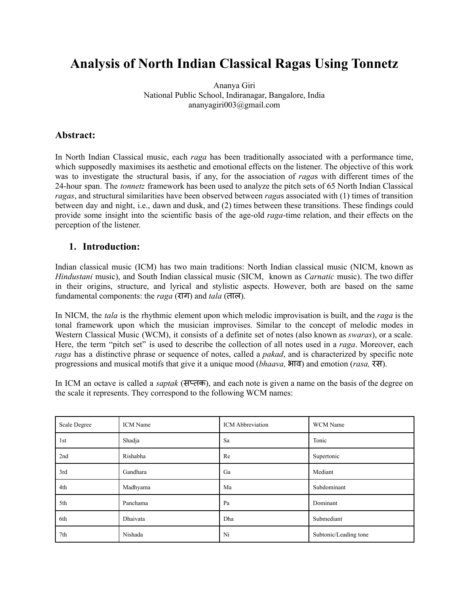# **Analysis of North Indian Classical Ragas Using Tonnetz**

Ananya Giri National Public School, Indiranagar, Bangalore, India ananyagiri003@gmail.com

## **Abstract:**

In North Indian Classical music, each *raga* has been traditionally associated with a performance time, which supposedly maximises its aesthetic and emotional effects on the listener. The objective of this work was to investigate the structural basis, if any, for the association of *raga*s with different times of the 24-hour span. The *tonnetz* framework has been used to analyze the pitch sets of 65 North Indian Classical *ragas*, and structural similarities have been observed between *raga*s associated with (1) times of transition between day and night, i.e., dawn and dusk, and (2) times between these transitions. These findings could provide some insight into the scientific basis of the age-old *raga*-time relation, and their effects on the perception of the listener.

## **1. Introduction:**

Indian classical music (ICM) has two main traditions: North Indian classical music (NICM, known as *Hindustani* music), and South Indian classical music (SICM, known as *Carnatic* music). The two differ in their origins, structure, and lyrical and stylistic aspects. However, both are based on the same fundamental components: the *raga* (राग) and *tala* (ताल).

In NICM, the *tala* is the rhythmic element upon which melodic improvisation is built, and the *raga* is the tonal framework upon which the musician improvises. Similar to the concept of melodic modes in Western Classical Music (WCM), it consists of a definite set of notes (also known as *swaras*), or a scale. Here, the term "pitch set" is used to describe the collection of all notes used in a *raga*. Moreover, each *raga* has a distinctive phrase or sequence of notes, called a *pakad*, and is characterized by specific note progressions and musical motifs that give it a unique mood (*bhaava,* भाव) and emotion (*rasa,* रस).

In ICM an octave is called a *saptak* (सप्तक), and each note is given a name on the basis of the degree on the scale it represents. They correspond to the following WCM names:

| <b>Scale Degree</b> | ICM Name | ICM Abbreviation | WCM Name              |
|---------------------|----------|------------------|-----------------------|
| 1st                 | Shadja   | Sa               | Tonic                 |
| 2nd                 | Rishabha | Re               | Supertonic            |
| 3rd                 | Gandhara | Ga               | Mediant               |
| 4th                 | Madhyama | Ma               | Subdominant           |
| 5th                 | Panchama | Pa               | Dominant              |
| 6th                 | Dhaivata | Dha              | Submediant            |
| 7th                 | Nishada  | Ni               | Subtonic/Leading tone |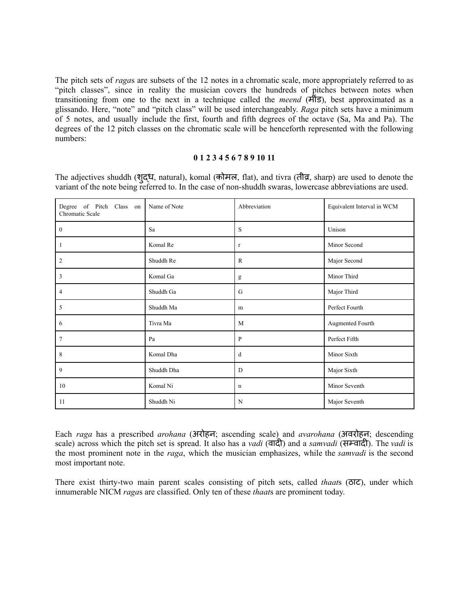The pitch sets of *raga*s are subsets of the 12 notes in a chromatic scale, more appropriately referred to as "pitch classes", since in reality the musician covers the hundreds of pitches between notes when transitioning from one to the next in a technique called the *meend* (मींड), best approximated as a glissando. Here, "note" and "pitch class" will be used interchangeably. *Raga* pitch sets have a minimum of 5 notes, and usually include the first, fourth and fifth degrees of the octave (Sa, Ma and Pa). The degrees of the 12 pitch classes on the chromatic scale will be henceforth represented with the following numbers:

#### **0 1 2 3 4 5 6 7 8 9 10 11**

The adjectives shuddh (शद्ुध, natural), komal (कोमल, flat), and tivra (तीव्र, sharp) are used to denote the variant of the note being referred to. In the case of non-shuddh swaras, lowercase abbreviations are used.

| Degree of Pitch Class on<br>Chromatic Scale | Name of Note | Abbreviation | Equivalent Interval in WCM |
|---------------------------------------------|--------------|--------------|----------------------------|
| $\bf{0}$                                    | Sa           | S            | Unison                     |
| 1                                           | Komal Re     | r            | Minor Second               |
| $\overline{2}$                              | Shuddh Re    | $\mathbb{R}$ | Major Second               |
| 3                                           | Komal Ga     | g            | Minor Third                |
| 4                                           | Shuddh Ga    | G            | Major Third                |
| 5                                           | Shuddh Ma    | m            | Perfect Fourth             |
| 6                                           | Tivra Ma     | M            | Augmented Fourth           |
| $\overline{7}$                              | Pa           | P            | Perfect Fifth              |
| 8                                           | Komal Dha    | d            | Minor Sixth                |
| 9                                           | Shuddh Dha   | D            | Major Sixth                |
| 10                                          | Komal Ni     | n            | Minor Seventh              |
| 11                                          | Shuddh Ni    | N            | Major Seventh              |

Each *raga* has a prescribed *arohana* (अरोहन; ascending scale) and *avarohana* (अवरोहन; descending scale) across which the pitch set is spread. It also has a *vadi* (वादी) and a *samvadi* (सम्वादी). The *vadi* is the most prominent note in the *raga*, which the musician emphasizes, while the *samvadi* is the second most important note.

There exist thirty-two main parent scales consisting of pitch sets, called *thaat*s (ठाट), under which innumerable NICM *raga*s are classified. Only ten of these *thaat*s are prominent today.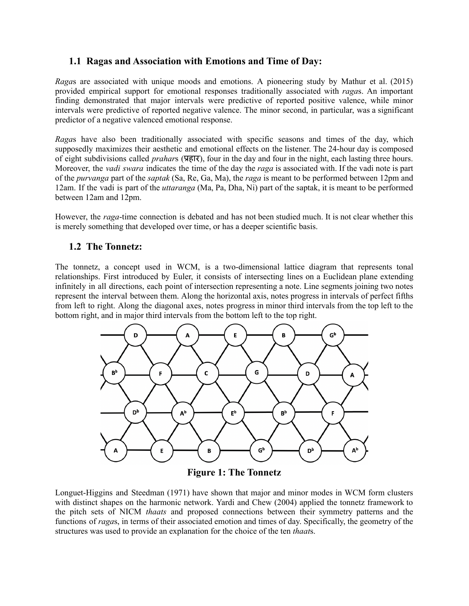## **1.1 Ragas and Association with Emotions and Time of Day:**

*Raga*s are associated with unique moods and emotions. A pioneering study by Mathur et al. (2015) provided empirical support for emotional responses traditionally associated with *raga*s. An important finding demonstrated that major intervals were predictive of reported positive valence, while minor intervals were predictive of reported negative valence. The minor second, in particular, was a significant predictor of a negative valenced emotional response.

*Raga*s have also been traditionally associated with specific seasons and times of the day, which supposedly maximizes their aesthetic and emotional effects on the listener. The 24-hour day is composed of eight subdivisions called *prahar*s (प्रहार), four in the day and four in the night, each lasting three hours. Moreover, the *vadi swara* indicates the time of the day the *raga* is associated with. If the vadi note is part of the *purvanga* part of the *saptak* (Sa, Re, Ga, Ma), the *raga* is meant to be performed between 12pm and 12am. If the vadi is part of the *uttaranga* (Ma, Pa, Dha, Ni) part of the saptak, it is meant to be performed between 12am and 12pm.

However, the *raga*-time connection is debated and has not been studied much. It is not clear whether this is merely something that developed over time, or has a deeper scientific basis.

## **1.2 The Tonnetz:**

The tonnetz, a concept used in WCM, is a two-dimensional lattice diagram that represents tonal relationships. First introduced by Euler, it consists of intersecting lines on a Euclidean plane extending infinitely in all directions, each point of intersection representing a note. Line segments joining two notes represent the interval between them. Along the horizontal axis, notes progress in intervals of perfect fifths from left to right. Along the diagonal axes, notes progress in minor third intervals from the top left to the bottom right, and in major third intervals from the bottom left to the top right.



**Figure 1: The Tonnetz**

Longuet-Higgins and Steedman (1971) have shown that major and minor modes in WCM form clusters with distinct shapes on the harmonic network. Yardi and Chew (2004) applied the tonnetz framework to the pitch sets of NICM *thaats* and proposed connections between their symmetry patterns and the functions of *raga*s, in terms of their associated emotion and times of day. Specifically, the geometry of the structures was used to provide an explanation for the choice of the ten *thaat*s.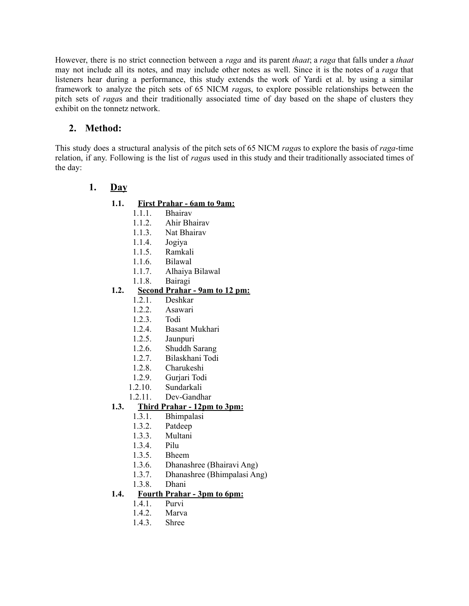However, there is no strict connection between a *raga* and its parent *thaat*; a *raga* that falls under a *thaat* may not include all its notes, and may include other notes as well. Since it is the notes of a *raga* that listeners hear during a performance, this study extends the work of Yardi et al. by using a similar framework to analyze the pitch sets of 65 NICM *raga*s, to explore possible relationships between the pitch sets of *raga*s and their traditionally associated time of day based on the shape of clusters they exhibit on the tonnetz network.

## **2. Method:**

This study does a structural analysis of the pitch sets of 65 NICM *raga*s to explore the basis of *raga*-time relation, if any. Following is the list of *raga*s used in this study and their traditionally associated times of the day:

## **1. Day**

## **1.1. First Prahar - 6am to 9am:**

- 1.1.1. Bhairav
- 1.1.2. Ahir Bhairav
- 1.1.3. Nat Bhairav
- 1.1.4. Jogiya
- 1.1.5. Ramkali
- 1.1.6. Bilawal
- 1.1.7. Alhaiya Bilawal
- 1.1.8. Bairagi

## **1.2. Second Prahar - 9am to 12 pm:**

- 1.2.1. Deshkar
- 1.2.2. Asawari
- 1.2.3. Todi
- 1.2.4. Basant Mukhari
- 1.2.5. Jaunpuri
- 1.2.6. Shuddh Sarang
- 1.2.7. Bilaskhani Todi
- 1.2.8. Charukeshi
- 1.2.9. Gurjari Todi
- 1.2.10. Sundarkali
- 1.2.11. Dev-Gandhar

## **1.3. Third Prahar - 12pm to 3pm:**

- 1.3.1. Bhimpalasi
- 1.3.2. Patdeep
- 1.3.3. Multani
- 1.3.4. Pilu
- 1.3.5. Bheem
- 1.3.6. Dhanashree (Bhairavi Ang)
- 1.3.7. Dhanashree (Bhimpalasi Ang)
- 1.3.8. Dhani

## **1.4. Fourth Prahar - 3pm to 6pm:**

- 141 Purvi
- 1.4.2. Marva
- 1.4.3. Shree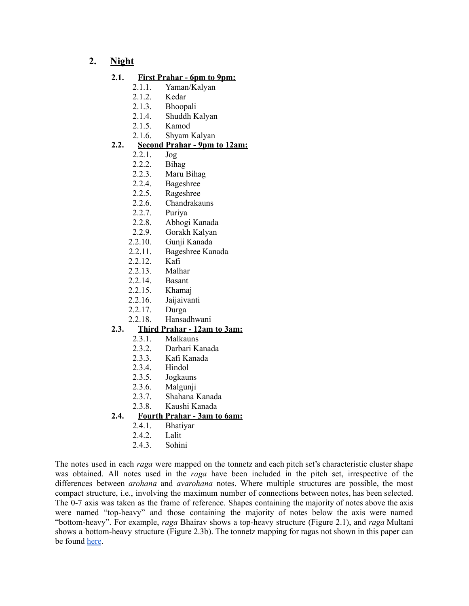**2. Night**

#### **2.1. First Prahar - 6pm to 9pm:**

- 2.1.1. Yaman/Kalyan
- 2.1.2. Kedar
- 2.1.3. Bhoopali
- 2.1.4. Shuddh Kalyan
- 2.1.5. Kamod
- 2.1.6. Shyam Kalyan

## **2.2. Second Prahar - 9pm to 12am:**

- 2.2.1. Jog
- 2.2.2. Bihag
- 2.2.3. Maru Bihag
- 2.2.4. Bageshree
- 2.2.5. Rageshree
- 2.2.6. Chandrakauns
- 2.2.7. Puriya
- 2.2.8. Abhogi Kanada
- 2.2.9. Gorakh Kalyan
- 2.2.10. Gunji Kanada
- 2.2.11. Bageshree Kanada
- 2.2.12. Kafi
- 2.2.13. Malhar
- 2.2.14. Basant
- 2.2.15. Khamaj
- 2.2.16. Jaijaivanti
- 2.2.17. Durga
- 2.2.18. Hansadhwani

## **2.3. Third Prahar - 12am to 3am:**

- 2.3.1. Malkauns
- 2.3.2. Darbari Kanada
- 2.3.3. Kafi Kanada
- 2.3.4. Hindol
- 2.3.5. Jogkauns
- 2.3.6. Malgunji
- 2.3.7. Shahana Kanada
- 2.3.8. Kaushi Kanada
- **2.4. Fourth Prahar - 3am to 6am:**
	- 2.4.1. Bhatiyar
	- 2.4.2. Lalit
	- 2.4.3. Sohini

The notes used in each *raga* were mapped on the tonnetz and each pitch set's characteristic cluster shape was obtained. All notes used in the *raga* have been included in the pitch set, irrespective of the differences between *arohana* and *avarohana* notes. Where multiple structures are possible, the most compact structure, i.e., involving the maximum number of connections between notes, has been selected. The 0-7 axis was taken as the frame of reference. Shapes containing the majority of notes above the axis were named "top-heavy" and those containing the majority of notes below the axis were named "bottom-heavy". For example, *raga* Bhairav shows a top-heavy structure (Figure 2.1), and *raga* Multani shows a bottom-heavy structure (Figure 2.3b). The tonnetz mapping for ragas not shown in this paper can be found [here](https://drive.google.com/drive/folders/1rUOs5ryhkVzecybTEacGIkQVGZ4Ym1Sn?usp=sharing).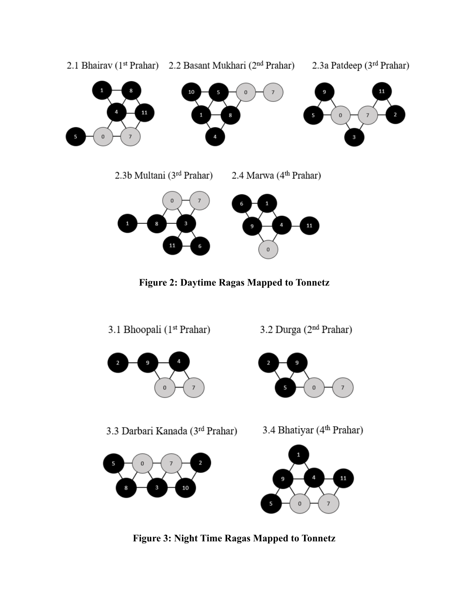

2.3b Multani (3rd Prahar) 2.4 Marwa (4<sup>th</sup> Prahar)



**Figure 2: Daytime Ragas Mapped to Tonnetz**



3.2 Durga (2<sup>nd</sup> Prahar)



3.3 Darbari Kanada (3rd Prahar)

3.4 Bhatiyar (4th Prahar)





**Figure 3: Night Time Ragas Mapped to Tonnetz**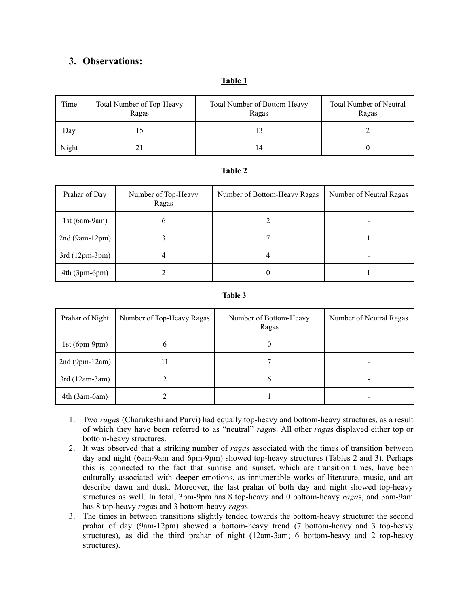## **3. Observations:**

#### **Table 1**

| Time  | Total Number of Top-Heavy<br>Ragas | Total Number of Bottom-Heavy<br>Ragas | <b>Total Number of Neutral</b><br>Ragas |
|-------|------------------------------------|---------------------------------------|-----------------------------------------|
| Day   |                                    |                                       |                                         |
| Night |                                    | 14                                    |                                         |

#### **Table 2**

| Prahar of Day   | Number of Top-Heavy<br>Ragas | Number of Bottom-Heavy Ragas | Number of Neutral Ragas |
|-----------------|------------------------------|------------------------------|-------------------------|
| 1st $(6am-9am)$ | O                            |                              |                         |
| $2nd(9am-12pm)$ |                              |                              |                         |
| $3rd(12pm-3pm)$ | 4                            |                              | -                       |
| $4th$ (3pm-6pm) |                              |                              |                         |

#### **Table 3**

| Prahar of Night | Number of Top-Heavy Ragas | Number of Bottom-Heavy<br>Ragas | Number of Neutral Ragas |
|-----------------|---------------------------|---------------------------------|-------------------------|
| $1st(6pm-9pm)$  | b                         | 0                               |                         |
| $2nd(9pm-12am)$ |                           |                                 |                         |
| $3rd(12am-3am)$ |                           | 6                               |                         |
| $4th$ (3am-6am) |                           |                                 |                         |

- 1. Two *raga*s (Charukeshi and Purvi) had equally top-heavy and bottom-heavy structures, as a result of which they have been referred to as "neutral" *raga*s. All other *raga*s displayed either top or bottom-heavy structures.
- 2. It was observed that a striking number of *raga*s associated with the times of transition between day and night (6am-9am and 6pm-9pm) showed top-heavy structures (Tables 2 and 3). Perhaps this is connected to the fact that sunrise and sunset, which are transition times, have been culturally associated with deeper emotions, as innumerable works of literature, music, and art describe dawn and dusk. Moreover, the last prahar of both day and night showed top-heavy structures as well. In total, 3pm-9pm has 8 top-heavy and 0 bottom-heavy *raga*s, and 3am-9am has 8 top-heavy *raga*s and 3 bottom-heavy *raga*s.
- 3. The times in between transitions slightly tended towards the bottom-heavy structure: the second prahar of day (9am-12pm) showed a bottom-heavy trend (7 bottom-heavy and 3 top-heavy structures), as did the third prahar of night (12am-3am; 6 bottom-heavy and 2 top-heavy structures).